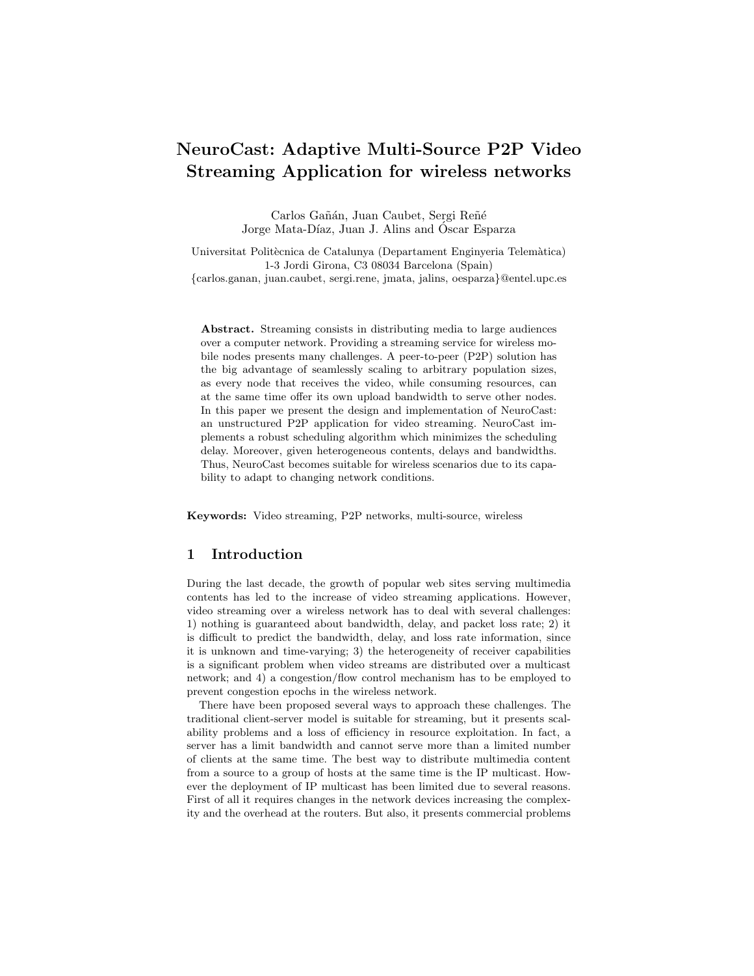# NeuroCast: Adaptive Multi-Source P2P Video Streaming Application for wireless networks

Carlos Gañán, Juan Caubet, Sergi Reñé Jorge Mata-Díaz, Juan J. Alins and Óscar Esparza

Universitat Politècnica de Catalunya (Departament Enginyeria Telemàtica) 1-3 Jordi Girona, C3 08034 Barcelona (Spain) {carlos.ganan, juan.caubet, sergi.rene, jmata, jalins, oesparza}@entel.upc.es

Abstract. Streaming consists in distributing media to large audiences over a computer network. Providing a streaming service for wireless mobile nodes presents many challenges. A peer-to-peer (P2P) solution has the big advantage of seamlessly scaling to arbitrary population sizes, as every node that receives the video, while consuming resources, can at the same time offer its own upload bandwidth to serve other nodes. In this paper we present the design and implementation of NeuroCast: an unstructured P2P application for video streaming. NeuroCast implements a robust scheduling algorithm which minimizes the scheduling delay. Moreover, given heterogeneous contents, delays and bandwidths. Thus, NeuroCast becomes suitable for wireless scenarios due to its capability to adapt to changing network conditions.

Keywords: Video streaming, P2P networks, multi-source, wireless

### 1 Introduction

During the last decade, the growth of popular web sites serving multimedia contents has led to the increase of video streaming applications. However, video streaming over a wireless network has to deal with several challenges: 1) nothing is guaranteed about bandwidth, delay, and packet loss rate; 2) it is difficult to predict the bandwidth, delay, and loss rate information, since it is unknown and time-varying; 3) the heterogeneity of receiver capabilities is a significant problem when video streams are distributed over a multicast network; and 4) a congestion/flow control mechanism has to be employed to prevent congestion epochs in the wireless network.

There have been proposed several ways to approach these challenges. The traditional client-server model is suitable for streaming, but it presents scalability problems and a loss of efficiency in resource exploitation. In fact, a server has a limit bandwidth and cannot serve more than a limited number of clients at the same time. The best way to distribute multimedia content from a source to a group of hosts at the same time is the IP multicast. However the deployment of IP multicast has been limited due to several reasons. First of all it requires changes in the network devices increasing the complexity and the overhead at the routers. But also, it presents commercial problems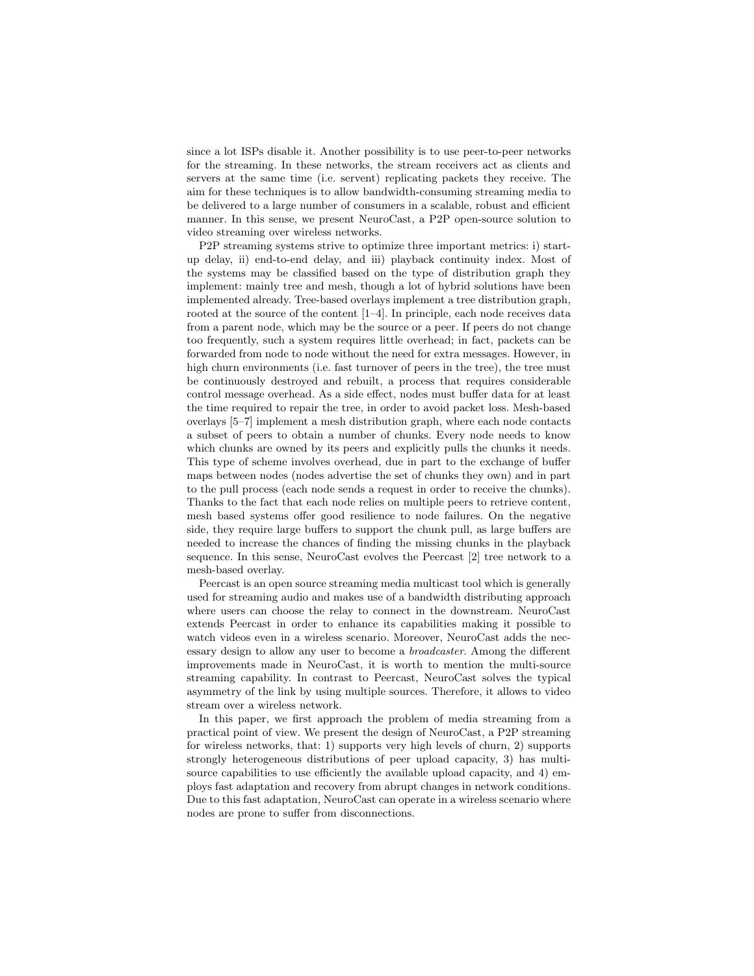since a lot ISPs disable it. Another possibility is to use peer-to-peer networks for the streaming. In these networks, the stream receivers act as clients and servers at the same time (i.e. servent) replicating packets they receive. The aim for these techniques is to allow bandwidth-consuming streaming media to be delivered to a large number of consumers in a scalable, robust and efficient manner. In this sense, we present NeuroCast, a P2P open-source solution to video streaming over wireless networks.

P2P streaming systems strive to optimize three important metrics: i) startup delay, ii) end-to-end delay, and iii) playback continuity index. Most of the systems may be classified based on the type of distribution graph they implement: mainly tree and mesh, though a lot of hybrid solutions have been implemented already. Tree-based overlays implement a tree distribution graph, rooted at the source of the content [1–4]. In principle, each node receives data from a parent node, which may be the source or a peer. If peers do not change too frequently, such a system requires little overhead; in fact, packets can be forwarded from node to node without the need for extra messages. However, in high churn environments (i.e. fast turnover of peers in the tree), the tree must be continuously destroyed and rebuilt, a process that requires considerable control message overhead. As a side effect, nodes must buffer data for at least the time required to repair the tree, in order to avoid packet loss. Mesh-based overlays [5–7] implement a mesh distribution graph, where each node contacts a subset of peers to obtain a number of chunks. Every node needs to know which chunks are owned by its peers and explicitly pulls the chunks it needs. This type of scheme involves overhead, due in part to the exchange of buffer maps between nodes (nodes advertise the set of chunks they own) and in part to the pull process (each node sends a request in order to receive the chunks). Thanks to the fact that each node relies on multiple peers to retrieve content, mesh based systems offer good resilience to node failures. On the negative side, they require large buffers to support the chunk pull, as large buffers are needed to increase the chances of finding the missing chunks in the playback sequence. In this sense, NeuroCast evolves the Peercast [2] tree network to a mesh-based overlay.

Peercast is an open source streaming media multicast tool which is generally used for streaming audio and makes use of a bandwidth distributing approach where users can choose the relay to connect in the downstream. NeuroCast extends Peercast in order to enhance its capabilities making it possible to watch videos even in a wireless scenario. Moreover, NeuroCast adds the necessary design to allow any user to become a broadcaster. Among the different improvements made in NeuroCast, it is worth to mention the multi-source streaming capability. In contrast to Peercast, NeuroCast solves the typical asymmetry of the link by using multiple sources. Therefore, it allows to video stream over a wireless network.

In this paper, we first approach the problem of media streaming from a practical point of view. We present the design of NeuroCast, a P2P streaming for wireless networks, that: 1) supports very high levels of churn, 2) supports strongly heterogeneous distributions of peer upload capacity, 3) has multisource capabilities to use efficiently the available upload capacity, and 4) employs fast adaptation and recovery from abrupt changes in network conditions. Due to this fast adaptation, NeuroCast can operate in a wireless scenario where nodes are prone to suffer from disconnections.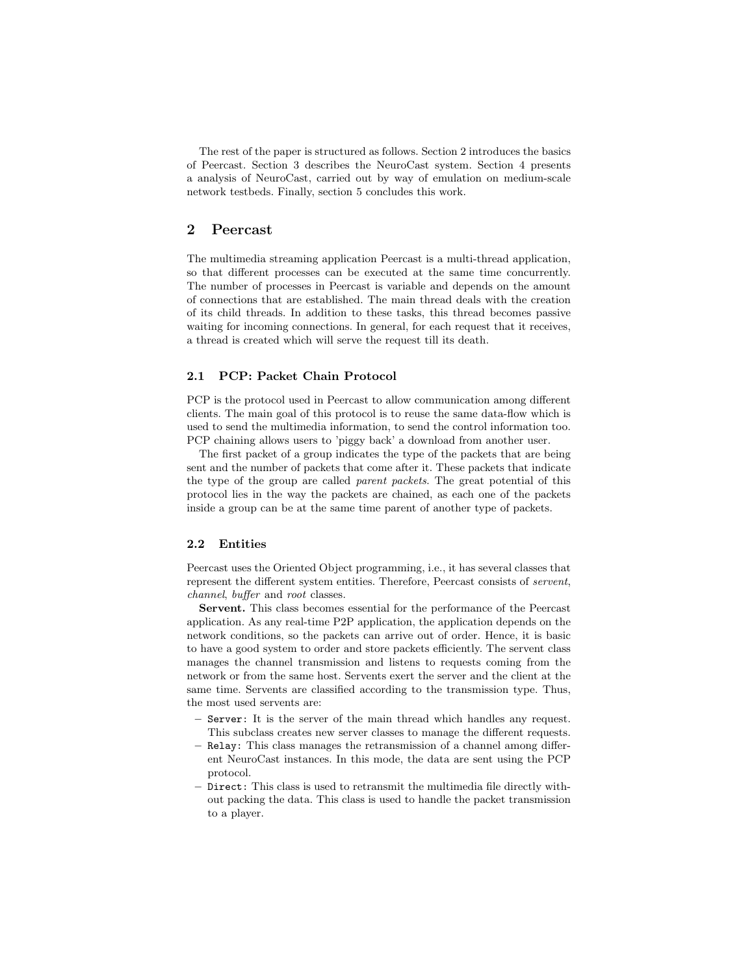The rest of the paper is structured as follows. Section 2 introduces the basics of Peercast. Section 3 describes the NeuroCast system. Section 4 presents a analysis of NeuroCast, carried out by way of emulation on medium-scale network testbeds. Finally, section 5 concludes this work.

# 2 Peercast

The multimedia streaming application Peercast is a multi-thread application, so that different processes can be executed at the same time concurrently. The number of processes in Peercast is variable and depends on the amount of connections that are established. The main thread deals with the creation of its child threads. In addition to these tasks, this thread becomes passive waiting for incoming connections. In general, for each request that it receives, a thread is created which will serve the request till its death.

#### 2.1 PCP: Packet Chain Protocol

PCP is the protocol used in Peercast to allow communication among different clients. The main goal of this protocol is to reuse the same data-flow which is used to send the multimedia information, to send the control information too. PCP chaining allows users to 'piggy back' a download from another user.

The first packet of a group indicates the type of the packets that are being sent and the number of packets that come after it. These packets that indicate the type of the group are called parent packets. The great potential of this protocol lies in the way the packets are chained, as each one of the packets inside a group can be at the same time parent of another type of packets.

#### 2.2 Entities

Peercast uses the Oriented Object programming, i.e., it has several classes that represent the different system entities. Therefore, Peercast consists of servent, channel, buffer and root classes.

Servent. This class becomes essential for the performance of the Peercast application. As any real-time P2P application, the application depends on the network conditions, so the packets can arrive out of order. Hence, it is basic to have a good system to order and store packets efficiently. The servent class manages the channel transmission and listens to requests coming from the network or from the same host. Servents exert the server and the client at the same time. Servents are classified according to the transmission type. Thus, the most used servents are:

- Server: It is the server of the main thread which handles any request. This subclass creates new server classes to manage the different requests.
- Relay: This class manages the retransmission of a channel among different NeuroCast instances. In this mode, the data are sent using the PCP protocol.
- Direct: This class is used to retransmit the multimedia file directly without packing the data. This class is used to handle the packet transmission to a player.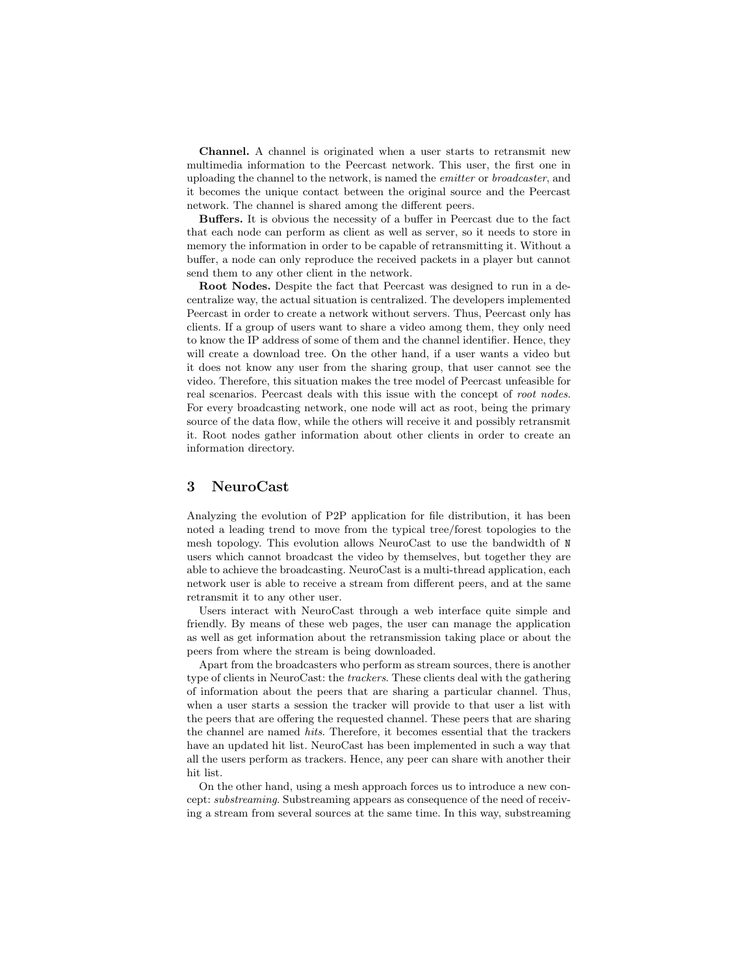Channel. A channel is originated when a user starts to retransmit new multimedia information to the Peercast network. This user, the first one in uploading the channel to the network, is named the emitter or broadcaster, and it becomes the unique contact between the original source and the Peercast network. The channel is shared among the different peers.

Buffers. It is obvious the necessity of a buffer in Peercast due to the fact that each node can perform as client as well as server, so it needs to store in memory the information in order to be capable of retransmitting it. Without a buffer, a node can only reproduce the received packets in a player but cannot send them to any other client in the network.

Root Nodes. Despite the fact that Peercast was designed to run in a decentralize way, the actual situation is centralized. The developers implemented Peercast in order to create a network without servers. Thus, Peercast only has clients. If a group of users want to share a video among them, they only need to know the IP address of some of them and the channel identifier. Hence, they will create a download tree. On the other hand, if a user wants a video but it does not know any user from the sharing group, that user cannot see the video. Therefore, this situation makes the tree model of Peercast unfeasible for real scenarios. Peercast deals with this issue with the concept of root nodes. For every broadcasting network, one node will act as root, being the primary source of the data flow, while the others will receive it and possibly retransmit it. Root nodes gather information about other clients in order to create an information directory.

### 3 NeuroCast

Analyzing the evolution of P2P application for file distribution, it has been noted a leading trend to move from the typical tree/forest topologies to the mesh topology. This evolution allows NeuroCast to use the bandwidth of N users which cannot broadcast the video by themselves, but together they are able to achieve the broadcasting. NeuroCast is a multi-thread application, each network user is able to receive a stream from different peers, and at the same retransmit it to any other user.

Users interact with NeuroCast through a web interface quite simple and friendly. By means of these web pages, the user can manage the application as well as get information about the retransmission taking place or about the peers from where the stream is being downloaded.

Apart from the broadcasters who perform as stream sources, there is another type of clients in NeuroCast: the trackers. These clients deal with the gathering of information about the peers that are sharing a particular channel. Thus, when a user starts a session the tracker will provide to that user a list with the peers that are offering the requested channel. These peers that are sharing the channel are named hits. Therefore, it becomes essential that the trackers have an updated hit list. NeuroCast has been implemented in such a way that all the users perform as trackers. Hence, any peer can share with another their hit list.

On the other hand, using a mesh approach forces us to introduce a new concept: substreaming. Substreaming appears as consequence of the need of receiving a stream from several sources at the same time. In this way, substreaming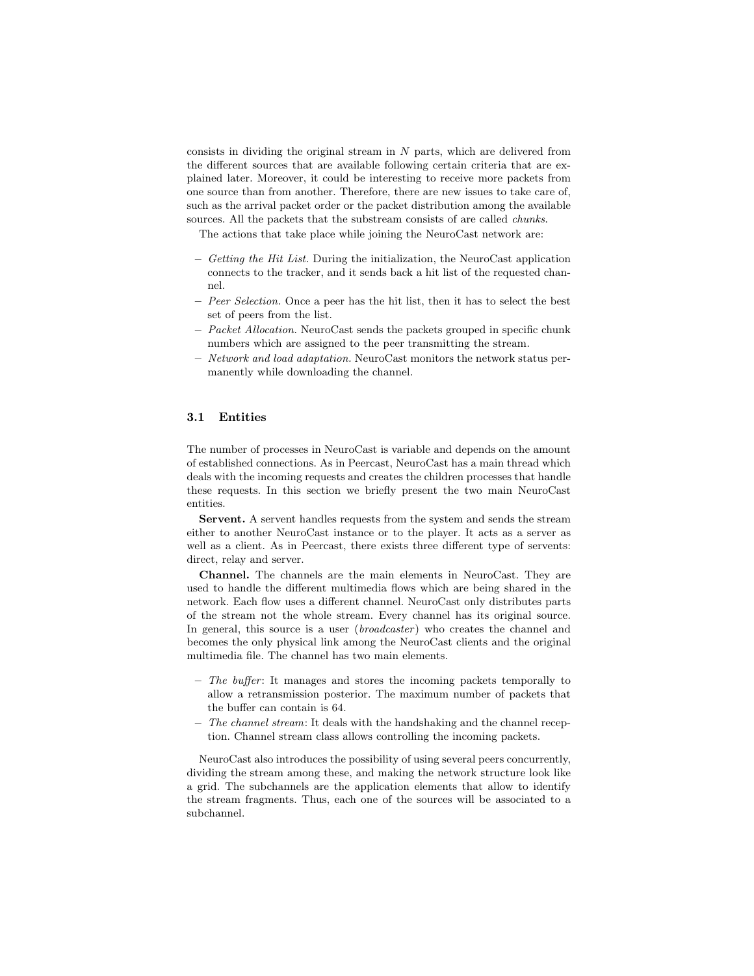consists in dividing the original stream in N parts, which are delivered from the different sources that are available following certain criteria that are explained later. Moreover, it could be interesting to receive more packets from one source than from another. Therefore, there are new issues to take care of, such as the arrival packet order or the packet distribution among the available sources. All the packets that the substream consists of are called chunks.

The actions that take place while joining the NeuroCast network are:

- $-$  Getting the Hit List. During the initialization, the NeuroCast application connects to the tracker, and it sends back a hit list of the requested channel.
- Peer Selection. Once a peer has the hit list, then it has to select the best set of peers from the list.
- Packet Allocation. NeuroCast sends the packets grouped in specific chunk numbers which are assigned to the peer transmitting the stream.
- Network and load adaptation. NeuroCast monitors the network status permanently while downloading the channel.

### 3.1 Entities

The number of processes in NeuroCast is variable and depends on the amount of established connections. As in Peercast, NeuroCast has a main thread which deals with the incoming requests and creates the children processes that handle these requests. In this section we briefly present the two main NeuroCast entities.

Servent. A servent handles requests from the system and sends the stream either to another NeuroCast instance or to the player. It acts as a server as well as a client. As in Peercast, there exists three different type of servents: direct, relay and server.

Channel. The channels are the main elements in NeuroCast. They are used to handle the different multimedia flows which are being shared in the network. Each flow uses a different channel. NeuroCast only distributes parts of the stream not the whole stream. Every channel has its original source. In general, this source is a user  $(broadcaster)$  who creates the channel and becomes the only physical link among the NeuroCast clients and the original multimedia file. The channel has two main elements.

- $-$  The buffer: It manages and stores the incoming packets temporally to allow a retransmission posterior. The maximum number of packets that the buffer can contain is 64.
- The channel stream: It deals with the handshaking and the channel reception. Channel stream class allows controlling the incoming packets.

NeuroCast also introduces the possibility of using several peers concurrently, dividing the stream among these, and making the network structure look like a grid. The subchannels are the application elements that allow to identify the stream fragments. Thus, each one of the sources will be associated to a subchannel.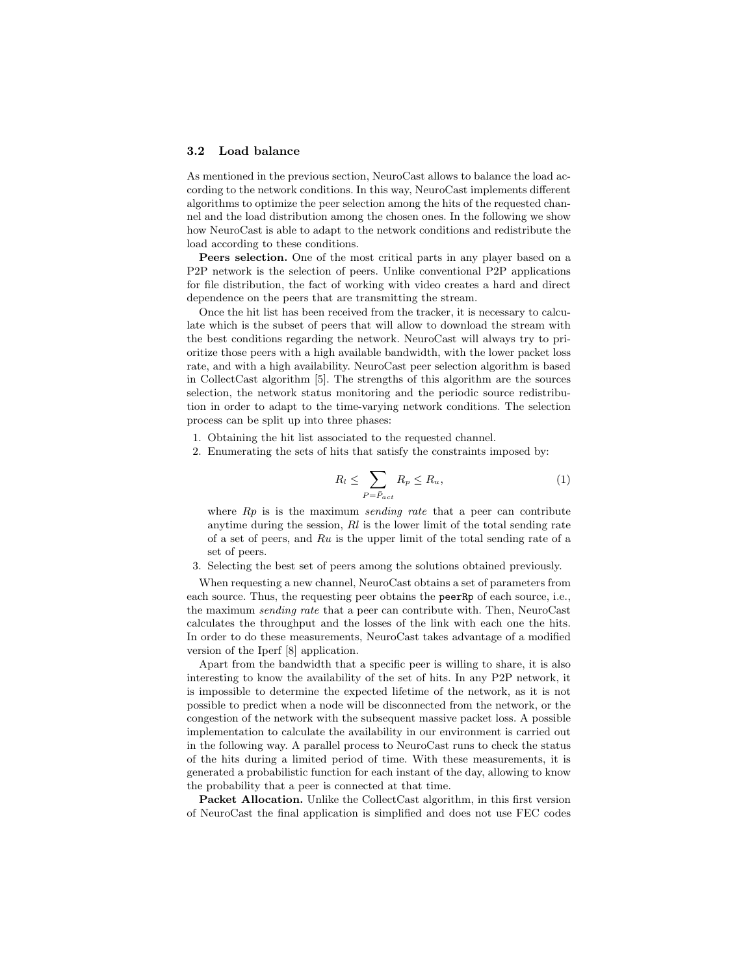#### 3.2 Load balance

As mentioned in the previous section, NeuroCast allows to balance the load according to the network conditions. In this way, NeuroCast implements different algorithms to optimize the peer selection among the hits of the requested channel and the load distribution among the chosen ones. In the following we show how NeuroCast is able to adapt to the network conditions and redistribute the load according to these conditions.

Peers selection. One of the most critical parts in any player based on a P2P network is the selection of peers. Unlike conventional P2P applications for file distribution, the fact of working with video creates a hard and direct dependence on the peers that are transmitting the stream.

Once the hit list has been received from the tracker, it is necessary to calculate which is the subset of peers that will allow to download the stream with the best conditions regarding the network. NeuroCast will always try to prioritize those peers with a high available bandwidth, with the lower packet loss rate, and with a high availability. NeuroCast peer selection algorithm is based in CollectCast algorithm [5]. The strengths of this algorithm are the sources selection, the network status monitoring and the periodic source redistribution in order to adapt to the time-varying network conditions. The selection process can be split up into three phases:

- 1. Obtaining the hit list associated to the requested channel.
- 2. Enumerating the sets of hits that satisfy the constraints imposed by:

$$
R_l \leq \sum_{P=\bar{P}_{act}} R_p \leq R_u, \tag{1}
$$

where  $Rp$  is is the maximum sending rate that a peer can contribute anytime during the session,  $Rl$  is the lower limit of the total sending rate of a set of peers, and  $Ru$  is the upper limit of the total sending rate of a set of peers.

3. Selecting the best set of peers among the solutions obtained previously.

When requesting a new channel, NeuroCast obtains a set of parameters from each source. Thus, the requesting peer obtains the peerRp of each source, i.e., the maximum sending rate that a peer can contribute with. Then, NeuroCast calculates the throughput and the losses of the link with each one the hits. In order to do these measurements, NeuroCast takes advantage of a modified version of the Iperf [8] application.

Apart from the bandwidth that a specific peer is willing to share, it is also interesting to know the availability of the set of hits. In any P2P network, it is impossible to determine the expected lifetime of the network, as it is not possible to predict when a node will be disconnected from the network, or the congestion of the network with the subsequent massive packet loss. A possible implementation to calculate the availability in our environment is carried out in the following way. A parallel process to NeuroCast runs to check the status of the hits during a limited period of time. With these measurements, it is generated a probabilistic function for each instant of the day, allowing to know the probability that a peer is connected at that time.

Packet Allocation. Unlike the CollectCast algorithm, in this first version of NeuroCast the final application is simplified and does not use FEC codes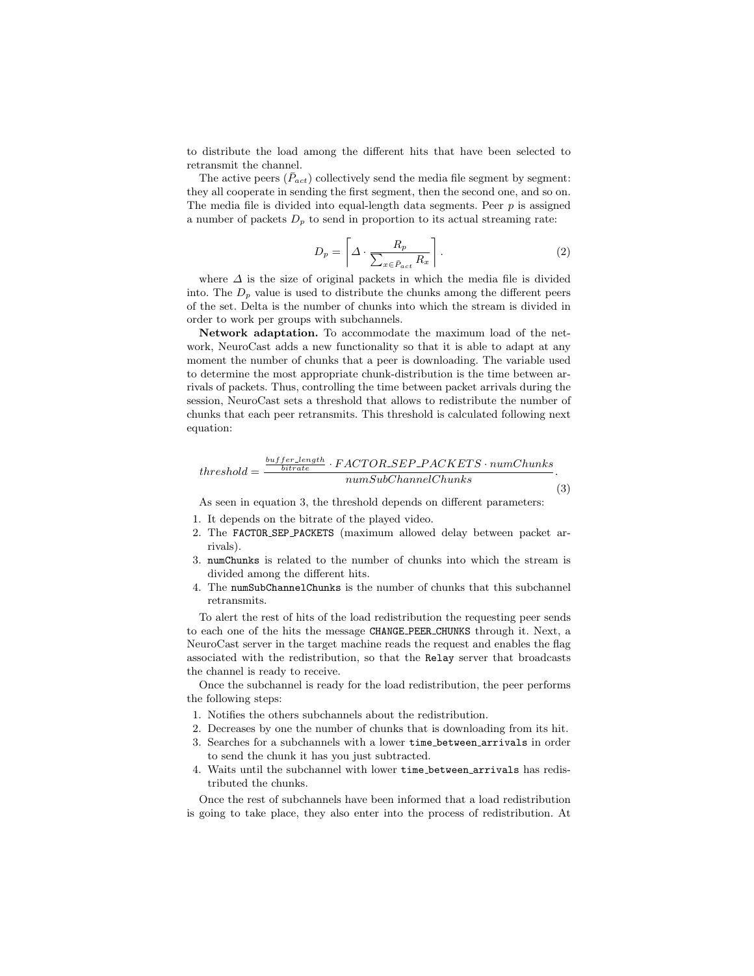to distribute the load among the different hits that have been selected to retransmit the channel.

The active peers  $(\bar{P}_{act})$  collectively send the media file segment by segment: they all cooperate in sending the first segment, then the second one, and so on. The media file is divided into equal-length data segments. Peer  $p$  is assigned a number of packets  $D_p$  to send in proportion to its actual streaming rate:

$$
D_p = \left[ \Delta \cdot \frac{R_p}{\sum_{x \in \bar{P}_{act}} R_x} \right]. \tag{2}
$$

where  $\Delta$  is the size of original packets in which the media file is divided into. The  $D_p$  value is used to distribute the chunks among the different peers of the set. Delta is the number of chunks into which the stream is divided in order to work per groups with subchannels.

Network adaptation. To accommodate the maximum load of the network, NeuroCast adds a new functionality so that it is able to adapt at any moment the number of chunks that a peer is downloading. The variable used to determine the most appropriate chunk-distribution is the time between arrivals of packets. Thus, controlling the time between packet arrivals during the session, NeuroCast sets a threshold that allows to redistribute the number of chunks that each peer retransmits. This threshold is calculated following next equation:

$$
threshold = \frac{\frac{buffer\_length}{bitrate} \cdot FACTOR\_SEP\_PACKETS \cdot numChunks}{numSubChannelChunks} \cdot (3)
$$

As seen in equation 3, the threshold depends on different parameters:

- 1. It depends on the bitrate of the played video.
- 2. The FACTOR SEP PACKETS (maximum allowed delay between packet arrivals).
- 3. numChunks is related to the number of chunks into which the stream is divided among the different hits.
- 4. The numSubChannelChunks is the number of chunks that this subchannel retransmits.

To alert the rest of hits of the load redistribution the requesting peer sends to each one of the hits the message CHANGE PEER CHUNKS through it. Next, a NeuroCast server in the target machine reads the request and enables the flag associated with the redistribution, so that the Relay server that broadcasts the channel is ready to receive.

Once the subchannel is ready for the load redistribution, the peer performs the following steps:

- 1. Notifies the others subchannels about the redistribution.
- 2. Decreases by one the number of chunks that is downloading from its hit.
- 3. Searches for a subchannels with a lower time between arrivals in order to send the chunk it has you just subtracted.
- 4. Waits until the subchannel with lower time between arrivals has redistributed the chunks.

Once the rest of subchannels have been informed that a load redistribution is going to take place, they also enter into the process of redistribution. At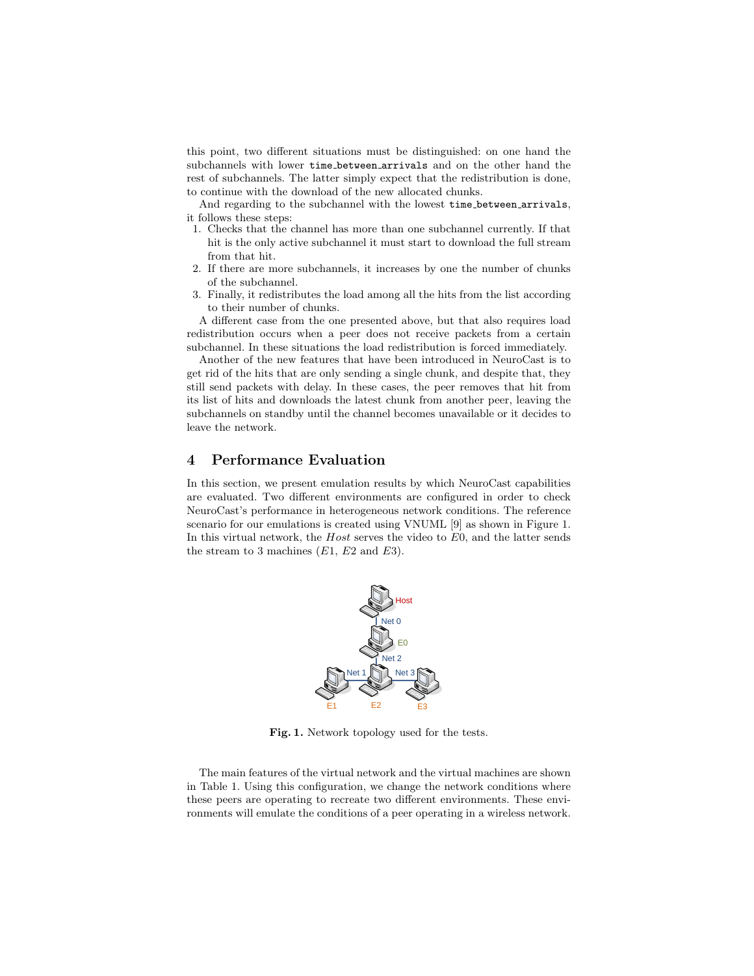this point, two different situations must be distinguished: on one hand the subchannels with lower time between arrivals and on the other hand the rest of subchannels. The latter simply expect that the redistribution is done, to continue with the download of the new allocated chunks.

And regarding to the subchannel with the lowest time between arrivals, it follows these steps:

- 1. Checks that the channel has more than one subchannel currently. If that hit is the only active subchannel it must start to download the full stream from that hit.
- 2. If there are more subchannels, it increases by one the number of chunks of the subchannel.
- 3. Finally, it redistributes the load among all the hits from the list according to their number of chunks.

A different case from the one presented above, but that also requires load redistribution occurs when a peer does not receive packets from a certain subchannel. In these situations the load redistribution is forced immediately.

Another of the new features that have been introduced in NeuroCast is to get rid of the hits that are only sending a single chunk, and despite that, they still send packets with delay. In these cases, the peer removes that hit from its list of hits and downloads the latest chunk from another peer, leaving the subchannels on standby until the channel becomes unavailable or it decides to leave the network.

# 4 Performance Evaluation

In this section, we present emulation results by which NeuroCast capabilities are evaluated. Two different environments are configured in order to check NeuroCast's performance in heterogeneous network conditions. The reference scenario for our emulations is created using VNUML [9] as shown in Figure 1. In this virtual network, the *Host* serves the video to E0, and the latter sends the stream to 3 machines  $(E1, E2 \text{ and } E3)$ .



Fig. 1. Network topology used for the tests.

The main features of the virtual network and the virtual machines are shown in Table 1. Using this configuration, we change the network conditions where these peers are operating to recreate two different environments. These environments will emulate the conditions of a peer operating in a wireless network.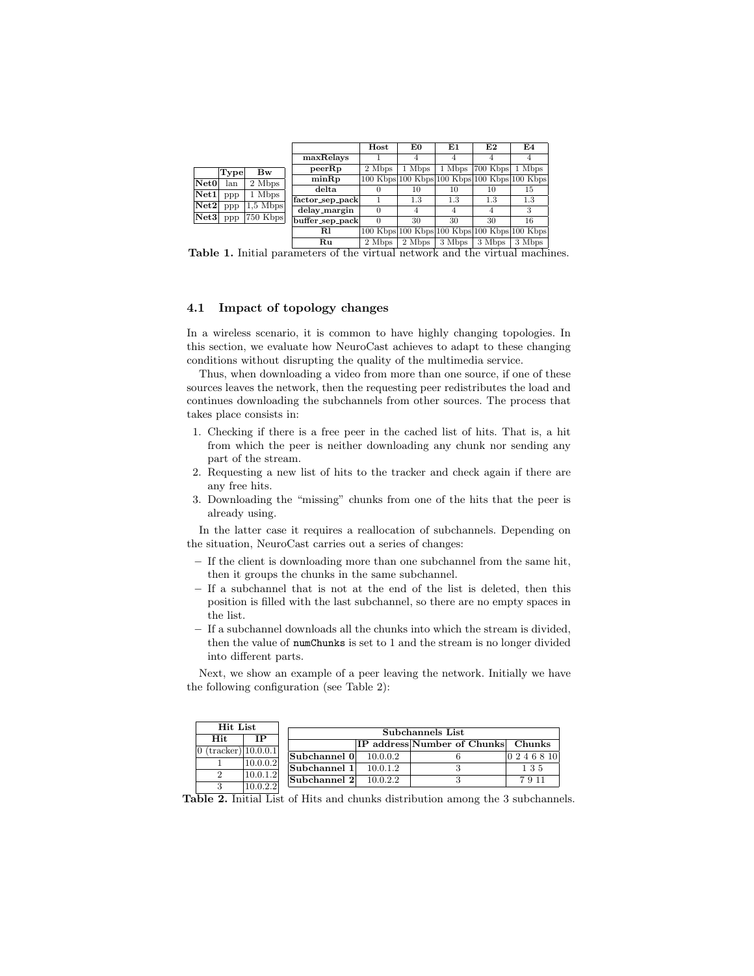|                                |                                |            |                 | Host   | E0      | E1                   | E2      | E4                                           |
|--------------------------------|--------------------------------|------------|-----------------|--------|---------|----------------------|---------|----------------------------------------------|
|                                |                                |            | maxRelays       |        |         | 4                    | 4       | 4                                            |
|                                | $\mathbf{B}\mathbf{w}$<br>Type | peerRp     | 2 Mbps          | 1 Mbps | 1 Mbps  | $ 700 \text{ Kbps} $ | 1 Mbps  |                                              |
| Net0                           | lan                            | 2 Mbps     | minRp           |        |         |                      |         | 100 Kbps 100 Kbps 100 Kbps 100 Kbps 100 Kbps |
| Net1                           |                                | L Mbps     | delta           |        | 10      | 10                   | 10      | 15                                           |
| Net2                           | ppp                            |            | factor_sep_pack |        | $1.3\,$ | $1.3\,$              | $1.3\,$ | $1.3\,$                                      |
|                                | ppp                            | $1.5$ Mbps | delay_margin    |        |         | 4                    | 4       | 3                                            |
| $\left  \mathrm{Net3} \right $ | ppp                            | $750$ Kbps | buffer_sep_pack |        | 30      | 30                   | 30      | 16                                           |
|                                |                                |            | Rl              |        |         |                      |         | 100 Kbps 100 Kbps 100 Kbps 100 Kbps 100 Kbps |
|                                |                                |            | Ru              | 2 Mbps | 2 Mbps  | 3 Mbps               | 3 Mbps  | 3 Mbps                                       |

Table 1. Initial parameters of the virtual network and the virtual machines.

#### 4.1 Impact of topology changes

In a wireless scenario, it is common to have highly changing topologies. In this section, we evaluate how NeuroCast achieves to adapt to these changing conditions without disrupting the quality of the multimedia service.

Thus, when downloading a video from more than one source, if one of these sources leaves the network, then the requesting peer redistributes the load and continues downloading the subchannels from other sources. The process that takes place consists in:

- 1. Checking if there is a free peer in the cached list of hits. That is, a hit from which the peer is neither downloading any chunk nor sending any part of the stream.
- 2. Requesting a new list of hits to the tracker and check again if there are any free hits.
- 3. Downloading the "missing" chunks from one of the hits that the peer is already using.

In the latter case it requires a reallocation of subchannels. Depending on the situation, NeuroCast carries out a series of changes:

- If the client is downloading more than one subchannel from the same hit, then it groups the chunks in the same subchannel.
- If a subchannel that is not at the end of the list is deleted, then this position is filled with the last subchannel, so there are no empty spaces in the list.
- If a subchannel downloads all the chunks into which the stream is divided, then the value of numChunks is set to 1 and the stream is no longer divided into different parts.

Next, we show an example of a peer leaving the network. Initially we have the following configuration (see Table 2):

|              |          |                              | <b>Chunks</b>                                   |  |  |
|--------------|----------|------------------------------|-------------------------------------------------|--|--|
|              | 10.0.0.2 |                              | $ 0\;2\;4\;6\;8\;10 $                           |  |  |
| Subchannel 1 | 10.0.1.2 |                              | 135                                             |  |  |
|              | 10.0.2.2 |                              | 7911                                            |  |  |
|              |          | Subchannel 0<br>Subchannel 2 | Subchannels List<br>IP address Number of Chunks |  |  |

Table 2. Initial List of Hits and chunks distribution among the 3 subchannels.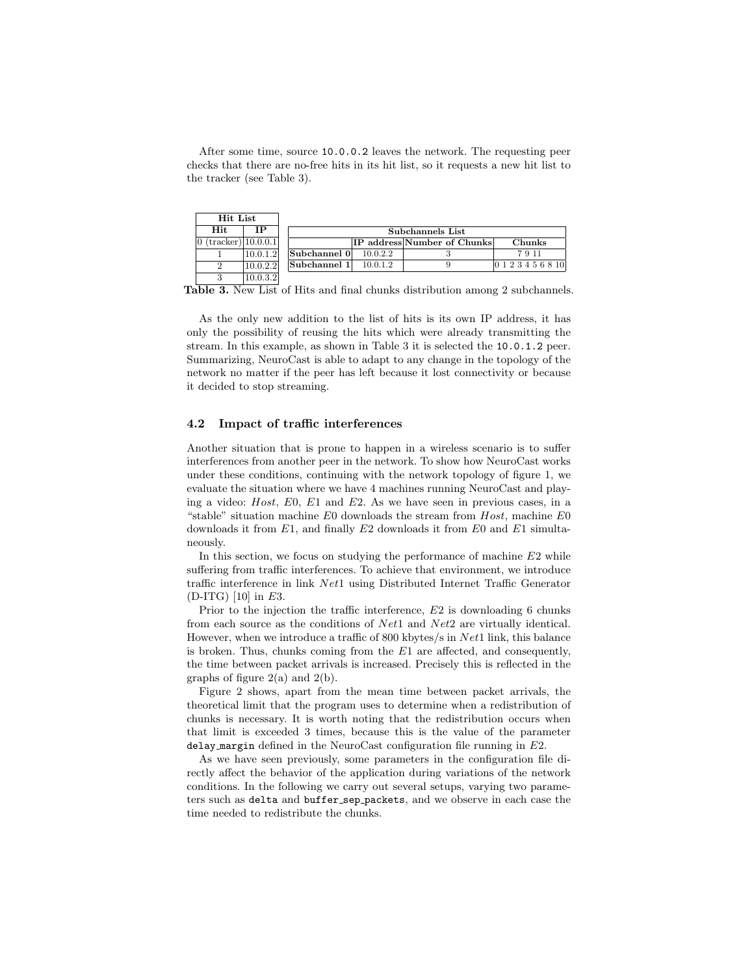After some time, source 10.0.0.2 leaves the network. The requesting peer checks that there are no-free hits in its hit list, so it requests a new hit list to the tracker (see Table 3).

| Hit List |            |                              |                  |          |                             |                                |  |  |
|----------|------------|------------------------------|------------------|----------|-----------------------------|--------------------------------|--|--|
|          | Hit.<br>ΙP |                              | Subchannels List |          |                             |                                |  |  |
|          |            | $(\text{tracker}) 10.0.0.1 $ |                  |          | IP address Number of Chunks | <b>Chunks</b>                  |  |  |
|          |            | 10.0.1.2                     | Subchannel 0     | 10.0.2.2 |                             | 7911                           |  |  |
|          |            | 10.0.2.2                     | Subchannel 1     | 10.0.1.2 |                             | $ 0\ 1\ 2\ 3\ 4\ 5\ 6\ 8\ 10 $ |  |  |
|          |            | 10.0.3.2                     |                  |          |                             |                                |  |  |

Table 3. New List of Hits and final chunks distribution among 2 subchannels.

As the only new addition to the list of hits is its own IP address, it has only the possibility of reusing the hits which were already transmitting the stream. In this example, as shown in Table 3 it is selected the 10.0.1.2 peer. Summarizing, NeuroCast is able to adapt to any change in the topology of the network no matter if the peer has left because it lost connectivity or because it decided to stop streaming.

#### 4.2 Impact of traffic interferences

Another situation that is prone to happen in a wireless scenario is to suffer interferences from another peer in the network. To show how NeuroCast works under these conditions, continuing with the network topology of figure 1, we evaluate the situation where we have 4 machines running NeuroCast and playing a video: Host, E0, E1 and E2. As we have seen in previous cases, in a "stable" situation machine  $E0$  downloads the stream from  $Host$ , machine  $E0$ downloads it from  $E1$ , and finally  $E2$  downloads it from  $E0$  and  $E1$  simultaneously.

In this section, we focus on studying the performance of machine  $E2$  while suffering from traffic interferences. To achieve that environment, we introduce traffic interference in link Net1 using Distributed Internet Traffic Generator  $(D-ITG)$  [10] in E3.

Prior to the injection the traffic interference, E2 is downloading 6 chunks from each source as the conditions of Net1 and Net2 are virtually identical. However, when we introduce a traffic of 800 kbytes/s in Net1 link, this balance is broken. Thus, chunks coming from the E1 are affected, and consequently, the time between packet arrivals is increased. Precisely this is reflected in the graphs of figure  $2(a)$  and  $2(b)$ .

Figure 2 shows, apart from the mean time between packet arrivals, the theoretical limit that the program uses to determine when a redistribution of chunks is necessary. It is worth noting that the redistribution occurs when that limit is exceeded 3 times, because this is the value of the parameter delay margin defined in the NeuroCast configuration file running in E2.

As we have seen previously, some parameters in the configuration file directly affect the behavior of the application during variations of the network conditions. In the following we carry out several setups, varying two parameters such as delta and buffer sep packets, and we observe in each case the time needed to redistribute the chunks.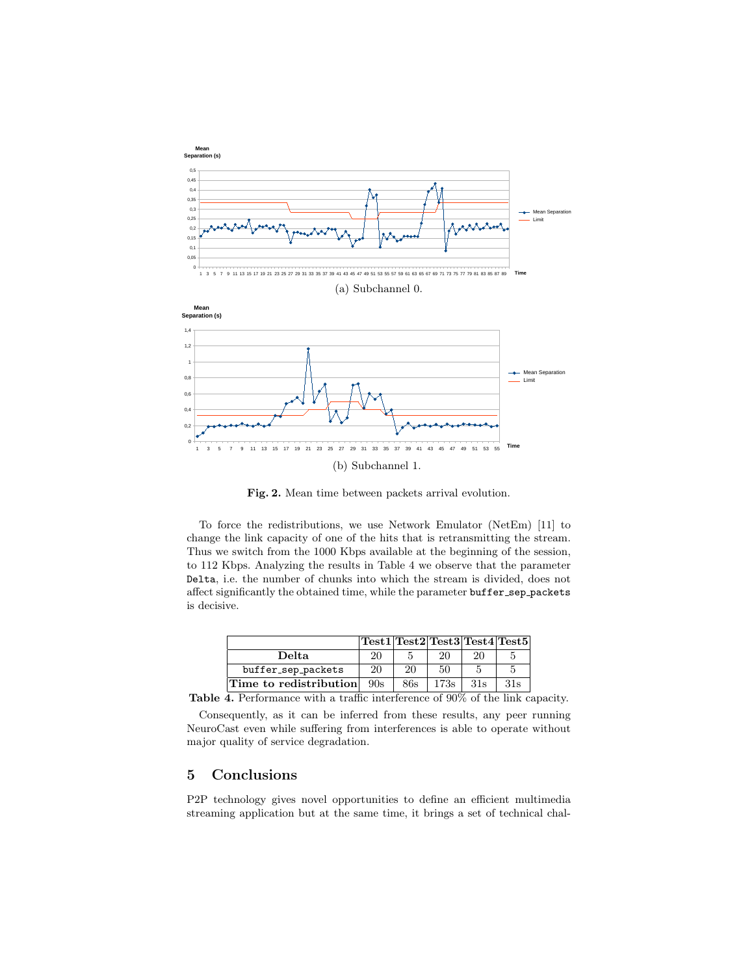

Fig. 2. Mean time between packets arrival evolution.

To force the redistributions, we use Network Emulator (NetEm) [11] to change the link capacity of one of the hits that is retransmitting the stream. Thus we switch from the 1000 Kbps available at the beginning of the session, to 112 Kbps. Analyzing the results in Table 4 we observe that the parameter Delta, i.e. the number of chunks into which the stream is divided, does not affect significantly the obtained time, while the parameter buffer sep packets is decisive.

|                        |     |     |      |     | $\left \text{Test1}\right \text{Test2}\right \text{Test3}\left \text{Test4}\right \text{Test5}\right $ |
|------------------------|-----|-----|------|-----|--------------------------------------------------------------------------------------------------------|
| Delta                  | 20  |     | 20   | 20  |                                                                                                        |
| buffer_sep_packets     | 20  | 20  | 50   |     | 5                                                                                                      |
| Time to redistribution | 90s | 86s | 173s | 31s | 31s                                                                                                    |

Table 4. Performance with a traffic interference of 90% of the link capacity.

Consequently, as it can be inferred from these results, any peer running NeuroCast even while suffering from interferences is able to operate without major quality of service degradation.

# 5 Conclusions

P2P technology gives novel opportunities to define an efficient multimedia streaming application but at the same time, it brings a set of technical chal